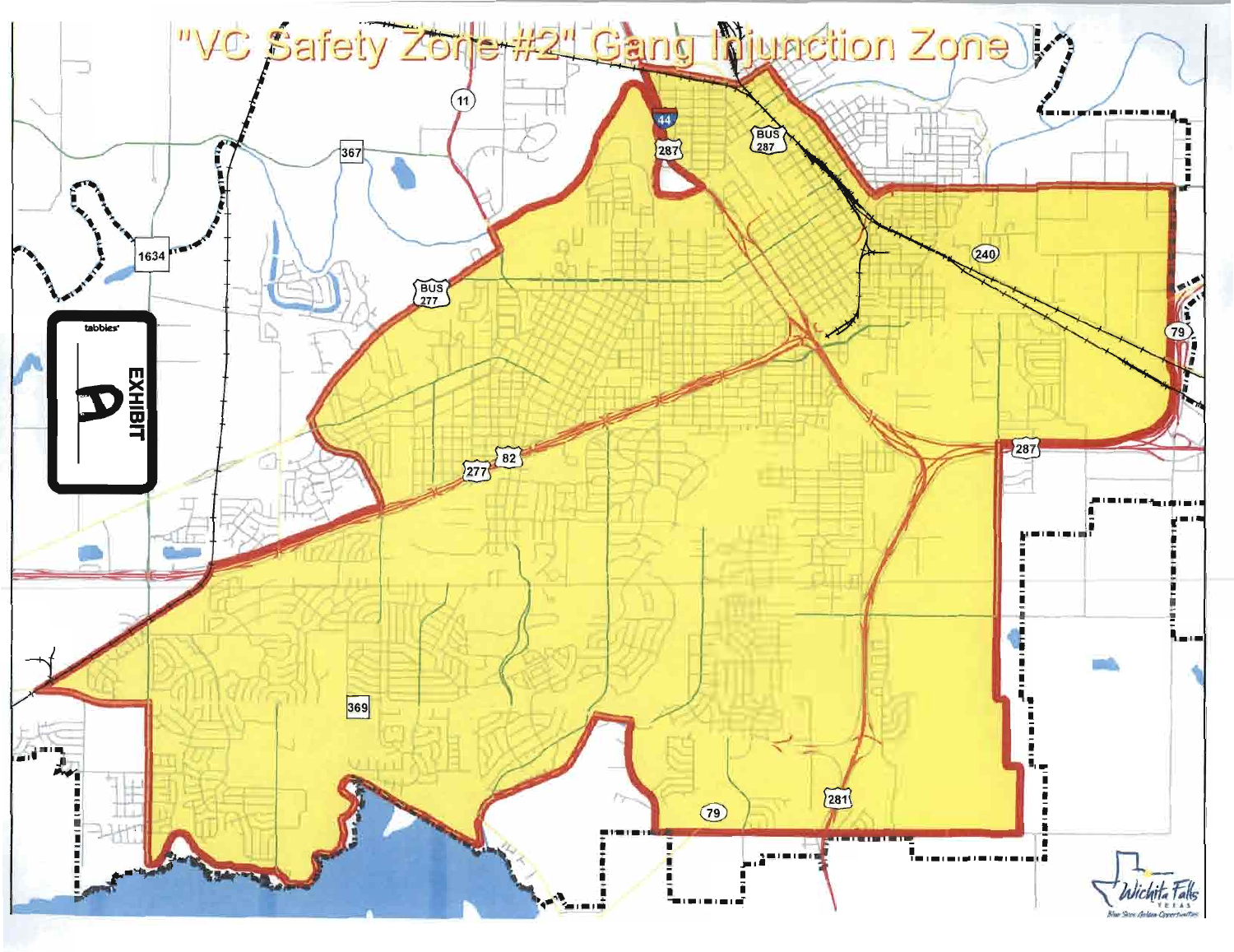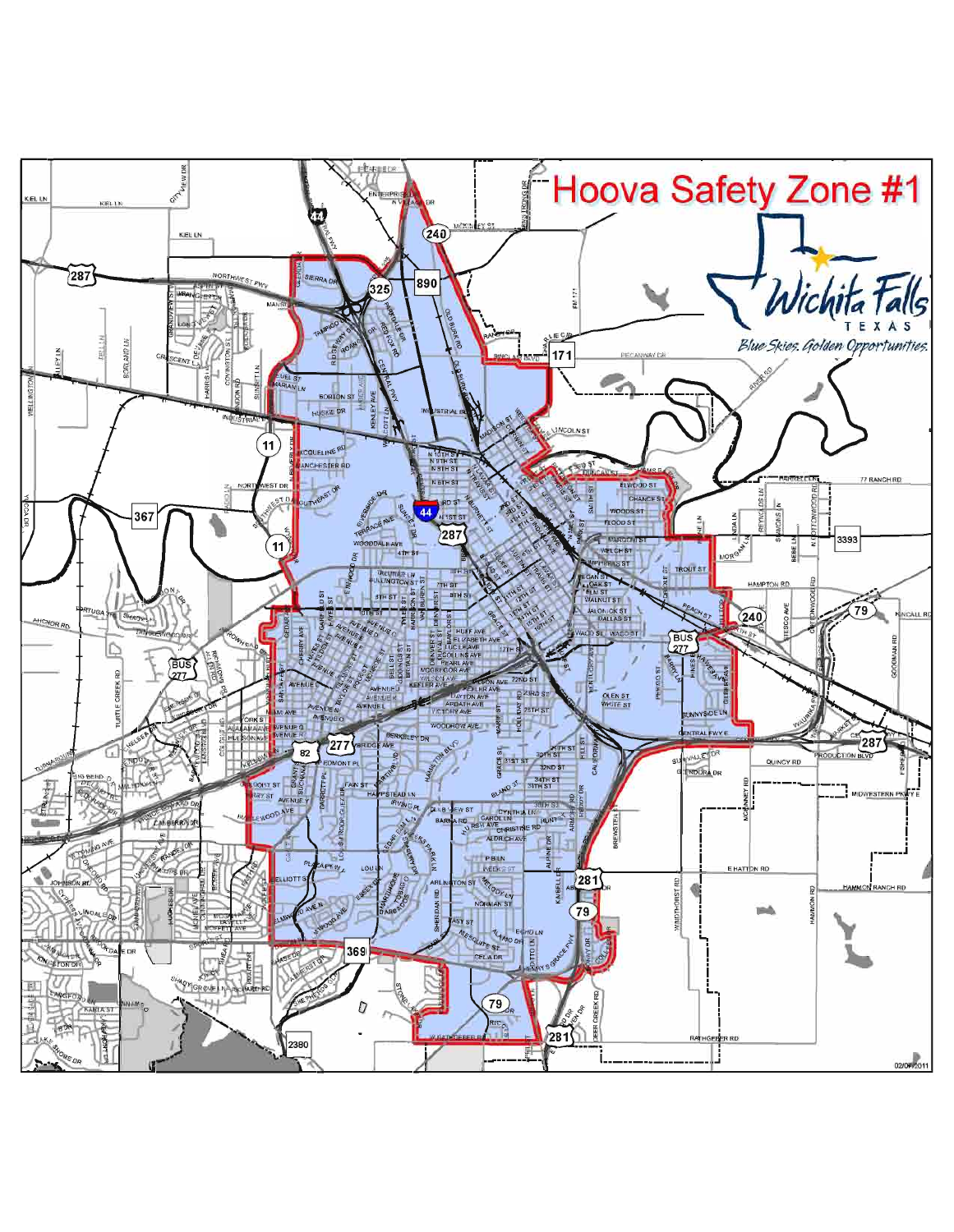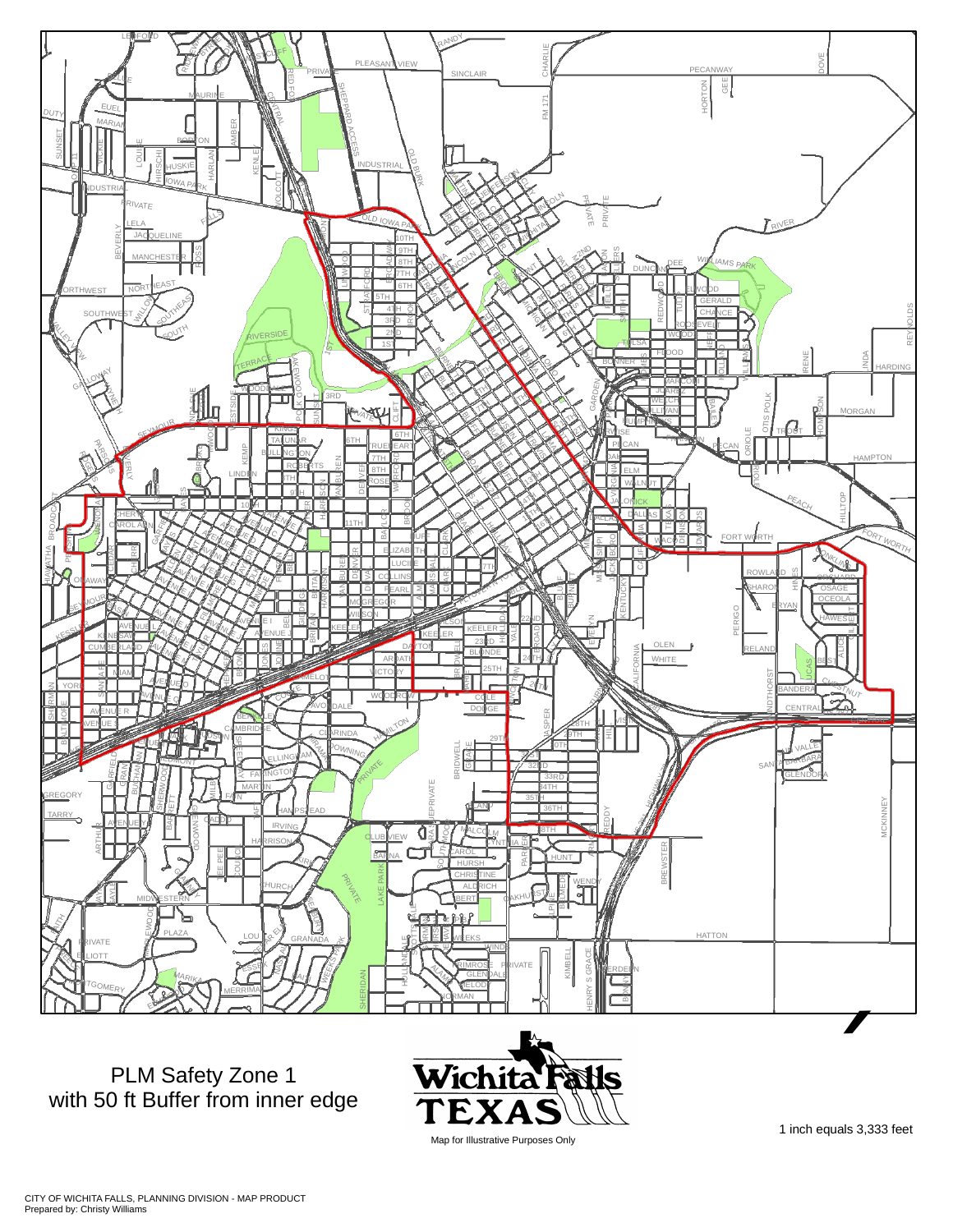

PLM Safety Zone 1 with 50 ft Buffer from inner edge



Map for Illustrative Purposes Only

1 inch equals 3,333 feet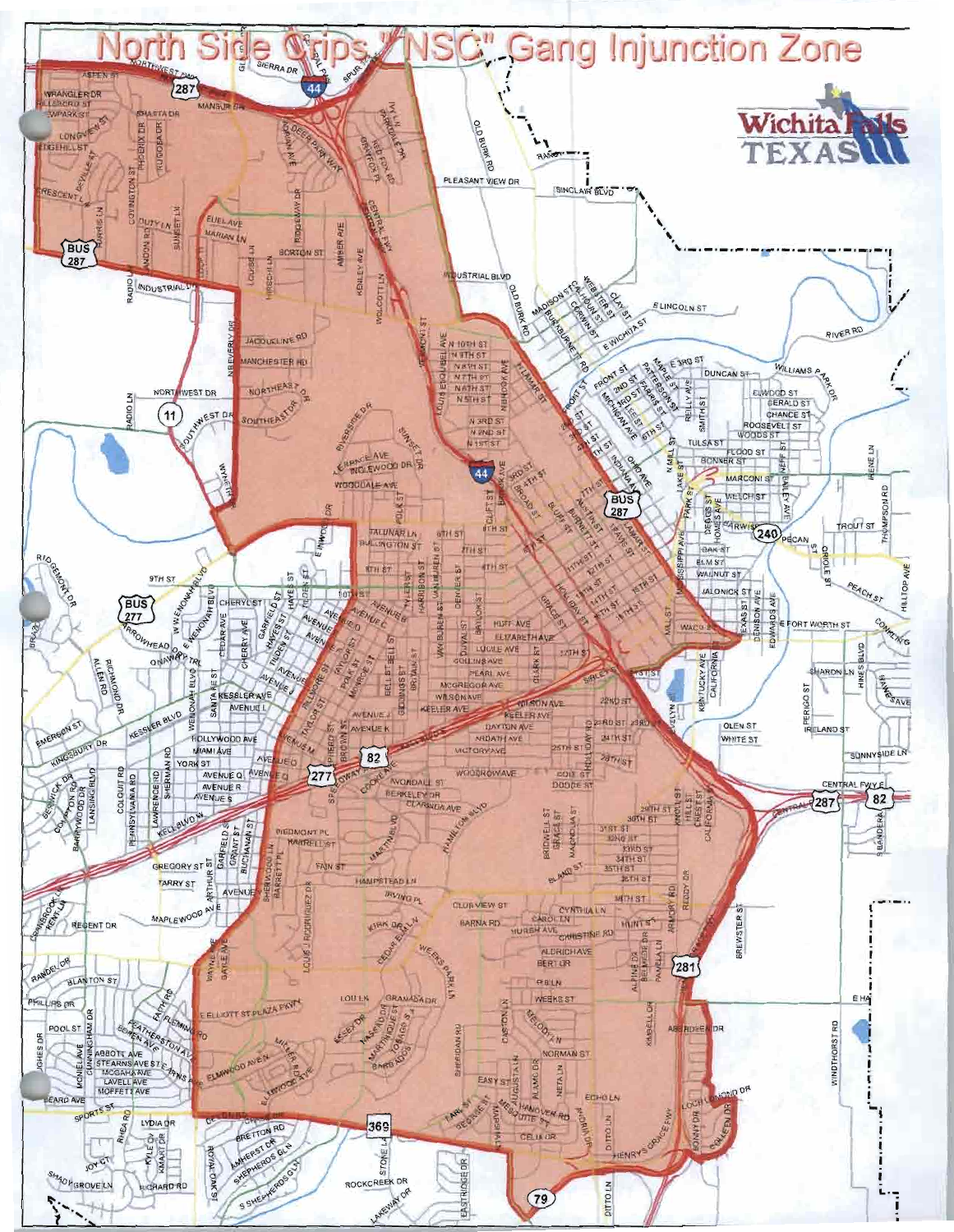